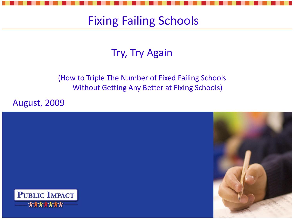#### Fixing Failing Schools

#### Try, Try Again

#### (How to Triple The Number of Fixed Failing Schools Without Getting Any Better at Fixing Schools)

August, 2009

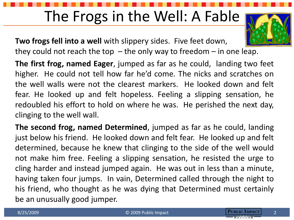#### The Frogs in the Well: A Fable

**Two frogs fell into a well** with slippery sides. Five feet down,

they could not reach the top  $-$  the only way to freedom  $-$  in one leap.

**The first frog, named Eager**, jumped as far as he could, landing two feet higher. He could not tell how far he'd come. The nicks and scratches on the well walls were not the clearest markers. He looked down and felt fear. He looked up and felt hopeless. Feeling a slipping sensation, he redoubled his effort to hold on where he was. He perished the next day, clinging to the well wall.

**The second frog, named Determined**, jumped as far as he could, landing just below his friend. He looked down and felt fear. He looked up and felt determined, because he knew that clinging to the side of the well would not make him free. Feeling a slipping sensation, he resisted the urge to cling harder and instead jumped again. He was out in less than a minute, having taken four jumps. In vain, Determined called through the night to his friend, who thought as he was dying that Determined must certainly be an unusually good jumper.

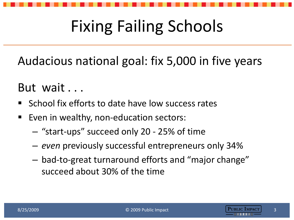## Fixing Failing Schools

Audacious national goal: fix 5,000 in five years

#### But wait . . .

- $\blacksquare$  School fix efforts to date have low success rates
- Even in wealthy, non-education sectors:
	- "start-ups" succeed only 20 25% of time
	- *even* previously successful entrepreneurs only 34%
	- bad-to-great turnaround efforts and "major change" succeed about 30% of the time



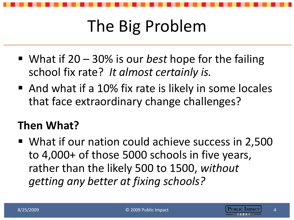## The Big Problem

- What if 20 30% is our *best* hope for the failing school fix rate? *It almost certainly is.*
- And what if a 10% fix rate is likely in some locales that face extraordinary change challenges?

#### **Then What?**

■ What if our nation could achieve success in 2,500 to 4,000+ of those 5000 schools in five years, rather than the likely 500 to 1500, *without getting any better at fixing schools?*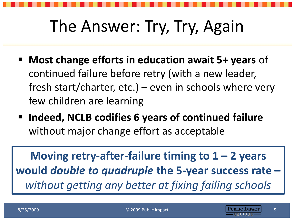### The Answer: Try, Try, Again

- **Most change efforts in education await 5+ years** of continued failure before retry (with a new leader, fresh start/charter, etc.) – even in schools where very few children are learning
- Indeed, NCLB codifies 6 years of continued failure without major change effort as acceptable

**Moving retry-after-failure timing to**  $1 - 2$  **years would** *double to quadruple* **the 5-year success rate –** *without getting any better at fixing failing schools*

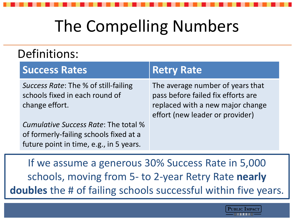## The Compelling Numbers

#### Definitions:

| <b>Success Rates</b>                                                                     | <b>Retry Rate</b>                                                                                                                             |
|------------------------------------------------------------------------------------------|-----------------------------------------------------------------------------------------------------------------------------------------------|
| Success Rate: The % of still-failing<br>schools fixed in each round of<br>change effort. | The average number of years that<br>pass before failed fix efforts are<br>replaced with a new major change<br>effort (new leader or provider) |
| Cumulative Success Rate: The total %<br>of formerly-failing schools fixed at a           |                                                                                                                                               |
| future point in time, e.g., in 5 years.                                                  |                                                                                                                                               |

If we assume a generous 30% Success Rate in 5,000 schools, moving from 5- to 2-year Retry Rate **nearly doubles** the # of failing schools successful within five years.

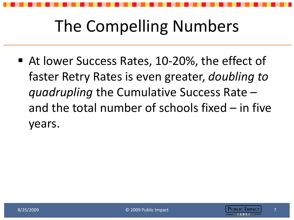### The Compelling Numbers

■ At lower Success Rates, 10-20%, the effect of faster Retry Rates is even greater, *doubling to quadrupling* the Cumulative Success Rate – and the total number of schools fixed  $-$  in five years.

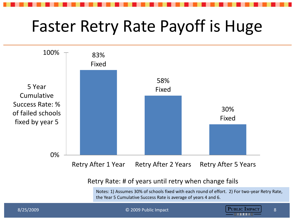### Faster Retry Rate Payoff is Huge



Retry Rate: # of years until retry when change fails

Notes: 1) Assumes 30% of schools fixed with each round of effort. 2) For two-year Retry Rate, the Year 5 Cumulative Success Rate is average of years 4 and 6.

© 2009 Public Impact



8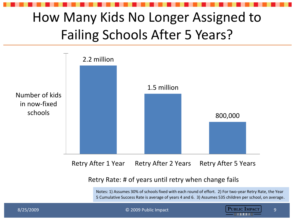#### How Many Kids No Longer Assigned to Failing Schools After 5 Years?



Retry After 1 Year Retry After 2 Years Retry After 5 Years

#### Retry Rate: # of years until retry when change fails

Notes: 1) Assumes 30% of schools fixed with each round of effort. 2) For two-year Retry Rate, the Year 5 Cumulative Success Rate is average of years 4 and 6. 3) Assumes 535 children per school, on average.



9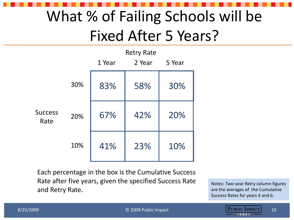### What % of Failing Schools will be Fixed After 5 Years?

|                        |     | <b>Retry Rate</b><br>1 Year<br>2 Year<br>5 Year |     |     |
|------------------------|-----|-------------------------------------------------|-----|-----|
| <b>Success</b><br>Rate | 30% | 83%                                             | 58% | 30% |
|                        | 20% | 67%                                             | 42% | 20% |
|                        | 10% | 41%                                             | 23% | 10% |

Each percentage in the box is the Cumulative Success Rate after five years, given the specified Success Rate and Retry Rate.

Notes: Two-year Retry column figures are the averages of the Cumulative Success Rates for years 4 and 6.



10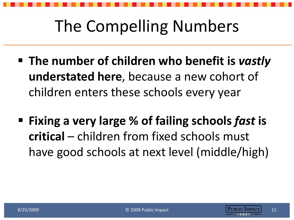### The Compelling Numbers

- **The number of children who benefit is** *vastly*  **understated here**, because a new cohort of children enters these schools every year
- **Fixing a very large % of failing schools** *fast* **is critical** – children from fixed schools must have good schools at next level (middle/high)

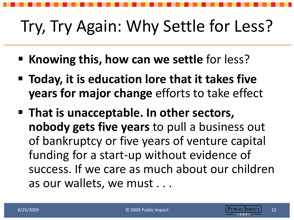# Try, Try Again: Why Settle for Less?

- **Knowing this, how can we settle for less?**
- **Today, it is education lore that it takes five years for major change** efforts to take effect
- **That is unacceptable. In other sectors, nobody gets five years** to pull a business out of bankruptcy or five years of venture capital funding for a start-up without evidence of success. If we care as much about our children as our wallets, we must . . .

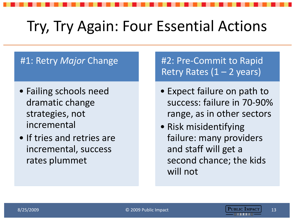#### Try, Try Again: Four Essential Actions

#### #1: Retry *Major* Change

- Failing schools need dramatic change strategies, not incremental
- If tries and retries are incremental, success rates plummet

#2: Pre-Commit to Rapid Retry Rates  $(1 - 2$  years)

- Expect failure on path to success: failure in 70-90% range, as in other sectors
- Risk misidentifying failure: many providers and staff will get a second chance; the kids will not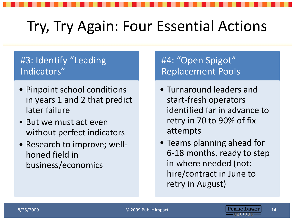#### Try, Try Again: Four Essential Actions

#### #3: Identify "Leading Indicators"

- Pinpoint school conditions in years 1 and 2 that predict later failure
- But we must act even without perfect indicators
- Research to improve; wellhoned field in business/economics

#### #4: "Open Spigot" Replacement Pools

- Turnaround leaders and start-fresh operators identified far in advance to retry in 70 to 90% of fix attempts
- Teams planning ahead for 6-18 months, ready to step in where needed (not: hire/contract in June to retry in August)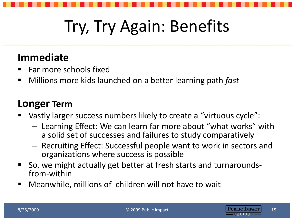# Try, Try Again: Benefits

#### **Immediate**

- Far more schools fixed
- Millions more kids launched on a better learning path *fast*

#### **Longer Term**

- Vastly larger success numbers likely to create a "virtuous cycle":
	- Learning Effect: We can learn far more about "what works" with a solid set of successes and failures to study comparatively
	- Recruiting Effect: Successful people want to work in sectors and organizations where success is possible
- So, we might actually get better at fresh starts and turnaroundsfrom-within
- Meanwhile, millions of children will not have to wait

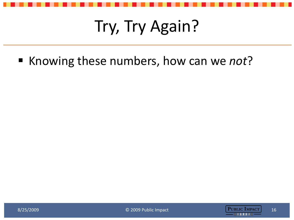## Try, Try Again?

■ Knowing these numbers, how can we *not*?

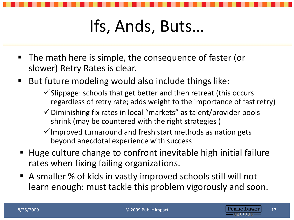## Ifs, Ands, Buts…

- The math here is simple, the consequence of faster (or slower) Retry Rates is clear.
- But future modeling would also include things like:
	- $\checkmark$  Slippage: schools that get better and then retreat (this occurs regardless of retry rate; adds weight to the importance of fast retry)
	- $\checkmark$  Diminishing fix rates in local "markets" as talent/provider pools shrink (may be countered with the right strategies )
	- $\checkmark$  Improved turnaround and fresh start methods as nation gets beyond anecdotal experience with success
- Huge culture change to confront inevitable high initial failure rates when fixing failing organizations.
- A smaller % of kids in vastly improved schools still will not learn enough: must tackle this problem vigorously and soon.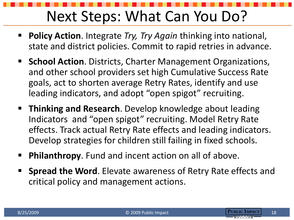#### Next Steps: What Can You Do?

- **Policy Action**. Integrate *Try, Try Again* thinking into national, state and district policies. Commit to rapid retries in advance.
- **School Action.** Districts, Charter Management Organizations, and other school providers set high Cumulative Success Rate goals, act to shorten average Retry Rates, identify and use leading indicators, and adopt "open spigot" recruiting.
- **Thinking and Research**. Develop knowledge about leading Indicators and "open spigot" recruiting. Model Retry Rate effects. Track actual Retry Rate effects and leading indicators. Develop strategies for children still failing in fixed schools.
- **Philanthropy**. Fund and incent action on all of above.
- **Spread the Word**. Elevate awareness of Retry Rate effects and critical policy and management actions.